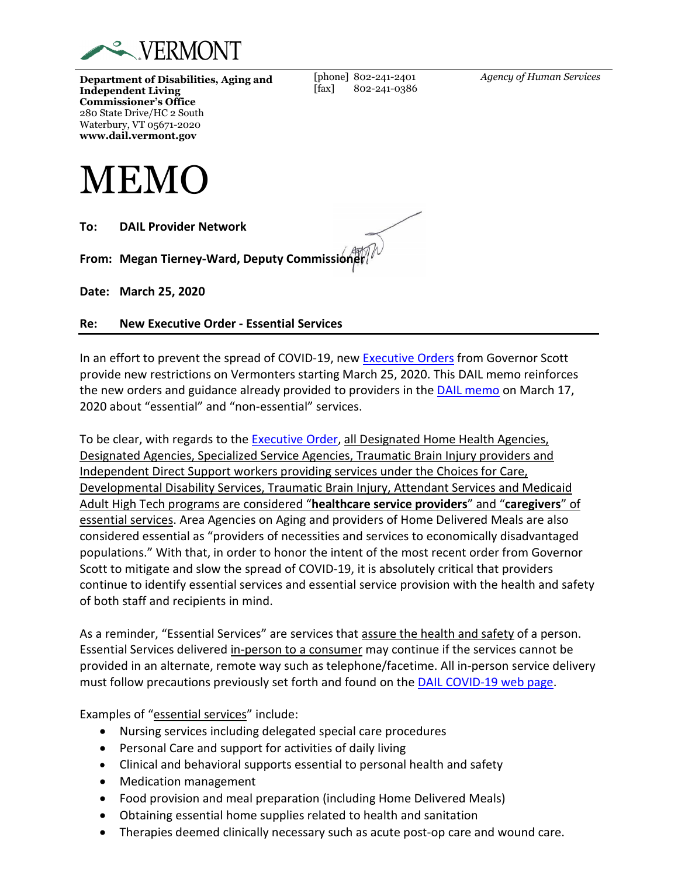

**Department of Disabilities, Aging and Independent Living Commissioner's Office** 280 State Drive/HC 2 South Waterbury, VT 05671-2020 **www.dail.vermont.gov**

[fax] 802-241-0386

[phone] 802-241-2401

*Agency of Human Services*



**To: DAIL Provider Network**

**From: Megan Tierney-Ward, Deputy Commissioner**

**Date: March 25, 2020**

**Re: New Executive Order - Essential Services**

In an effort to prevent the spread of COVID-19, new [Executive Orders](https://governor.vermont.gov/sites/scott/files/documents/ADDENDUM%206%20TO%20EXECUTIVE%20ORDER%2001-20.pdf) from Governor Scott provide new restrictions on Vermonters starting March 25, 2020. This DAIL memo reinforces the new orders and guidance already provided to providers in th[e DAIL memo](https://dail.vermont.gov/sites/dail/files/documents/Final%20Memo%20to%20providers%20hb%20services%203.17.20.pdf) on March 17, 2020 about "essential" and "non-essential" services.

To be clear, with regards to the [Executive Order,](https://governor.vermont.gov/sites/scott/files/documents/ADDENDUM%206%20TO%20EXECUTIVE%20ORDER%2001-20.pdf) all Designated Home Health Agencies, Designated Agencies, Specialized Service Agencies, Traumatic Brain Injury providers and Independent Direct Support workers providing services under the Choices for Care, Developmental Disability Services, Traumatic Brain Injury, Attendant Services and Medicaid Adult High Tech programs are considered "**healthcare service providers**" and "**caregivers**" of essential services. Area Agencies on Aging and providers of Home Delivered Meals are also considered essential as "providers of necessities and services to economically disadvantaged populations." With that, in order to honor the intent of the most recent order from Governor Scott to mitigate and slow the spread of COVID-19, it is absolutely critical that providers continue to identify essential services and essential service provision with the health and safety of both staff and recipients in mind.

As a reminder, "Essential Services" are services that assure the health and safety of a person. Essential Services delivered in-person to a consumer may continue if the services cannot be provided in an alternate, remote way such as telephone/facetime. All in-person service delivery must follow precautions previously set forth and found on the [DAIL COVID-19 web page.](https://dail.vermont.gov/novel-coronavirus-information)

Examples of "essential services" include:

- Nursing services including delegated special care procedures
- Personal Care and support for activities of daily living
- Clinical and behavioral supports essential to personal health and safety
- Medication management
- Food provision and meal preparation (including Home Delivered Meals)
- Obtaining essential home supplies related to health and sanitation
- Therapies deemed clinically necessary such as acute post-op care and wound care.